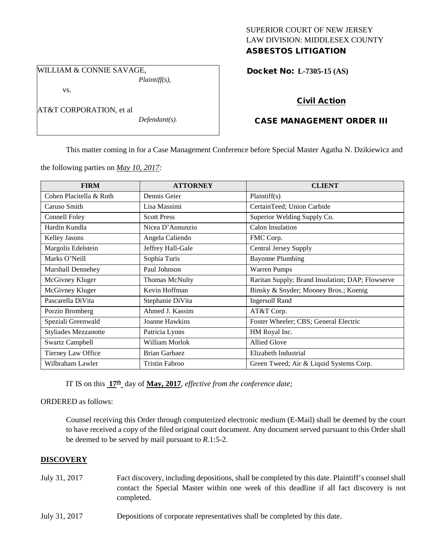# SUPERIOR COURT OF NEW JERSEY LAW DIVISION: MIDDLESEX COUNTY ASBESTOS LITIGATION

WILLIAM & CONNIE SAVAGE, *Plaintiff(s),*

vs.

AT&T CORPORATION, et al

*Defendant(s).*

Docket No: **L-7305-15 (AS)** 

# Civil Action

# CASE MANAGEMENT ORDER III

This matter coming in for a Case Management Conference before Special Master Agatha N. Dzikiewicz and

the following parties on *May 10, 2017:*

| <b>FIRM</b>                 | <b>ATTORNEY</b>       | <b>CLIENT</b>                                    |
|-----------------------------|-----------------------|--------------------------------------------------|
| Cohen Placitella & Roth     | Dennis Geier          | Plaintiff(s)                                     |
| Caruso Smith                | Lisa Massimi          | CertainTeed; Union Carbide                       |
| Connell Foley               | <b>Scott Press</b>    | Superior Welding Supply Co.                      |
| Hardin Kundla               | Nicea D'Annunzio      | Calon Insulation                                 |
| Kelley Jasons               | Angela Caliendo       | FMC Corp.                                        |
| Margolis Edelstein          | Jeffrey Hall-Gale     | <b>Central Jersey Supply</b>                     |
| Marks O'Neill               | Sophia Turis          | <b>Bayonne Plumbing</b>                          |
| Marshall Dennehey           | Paul Johnson          | <b>Warren Pumps</b>                              |
| McGivney Kluger             | <b>Thomas McNulty</b> | Raritan Supply; Brand Insulation; DAP; Flowserve |
| McGivney Kluger             | Kevin Hoffman         | Binsky & Snyder; Mooney Bros.; Koenig            |
| Pascarella DiVita           | Stephanie DiVita      | <b>Ingersoll Rand</b>                            |
| Porzio Bromberg             | Ahmed J. Kassim       | AT&T Corp.                                       |
| Speziali Greenwald          | Joanne Hawkins        | Foster Wheeler; CBS; General Electric            |
| <b>Styliades Mezzanotte</b> | Patricia Lyons        | HM Royal Inc.                                    |
| <b>Swartz Campbell</b>      | William Morlok        | <b>Allied Glove</b>                              |
| Tierney Law Office          | <b>Brian Garbaez</b>  | Elizabeth Industrial                             |
| Wilbraham Lawler            | <b>Tristin Fabroo</b> | Green Tweed; Air & Liquid Systems Corp.          |

IT IS on this **17th** day of **May, 2017**, *effective from the conference date;*

ORDERED as follows:

Counsel receiving this Order through computerized electronic medium (E-Mail) shall be deemed by the court to have received a copy of the filed original court document. Any document served pursuant to this Order shall be deemed to be served by mail pursuant to *R*.1:5-2.

## **DISCOVERY**

- July 31, 2017 Fact discovery, including depositions, shall be completed by this date. Plaintiff's counsel shall contact the Special Master within one week of this deadline if all fact discovery is not completed.
- July 31, 2017 Depositions of corporate representatives shall be completed by this date.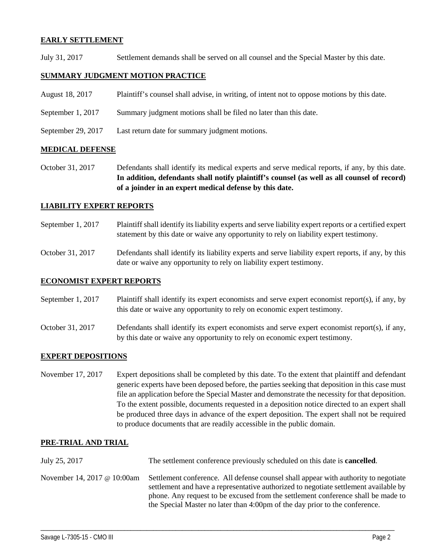## **EARLY SETTLEMENT**

July 31, 2017 Settlement demands shall be served on all counsel and the Special Master by this date.

## **SUMMARY JUDGMENT MOTION PRACTICE**

- August 18, 2017 Plaintiff's counsel shall advise, in writing, of intent not to oppose motions by this date.
- September 1, 2017 Summary judgment motions shall be filed no later than this date.
- September 29, 2017 Last return date for summary judgment motions.

#### **MEDICAL DEFENSE**

October 31, 2017 Defendants shall identify its medical experts and serve medical reports, if any, by this date. **In addition, defendants shall notify plaintiff's counsel (as well as all counsel of record) of a joinder in an expert medical defense by this date.**

### **LIABILITY EXPERT REPORTS**

- September 1, 2017 Plaintiff shall identify its liability experts and serve liability expert reports or a certified expert statement by this date or waive any opportunity to rely on liability expert testimony.
- October 31, 2017 Defendants shall identify its liability experts and serve liability expert reports, if any, by this date or waive any opportunity to rely on liability expert testimony.

#### **ECONOMIST EXPERT REPORTS**

September 1, 2017 Plaintiff shall identify its expert economists and serve expert economist report(s), if any, by this date or waive any opportunity to rely on economic expert testimony.

October 31, 2017 Defendants shall identify its expert economists and serve expert economist report(s), if any, by this date or waive any opportunity to rely on economic expert testimony.

### **EXPERT DEPOSITIONS**

November 17, 2017 Expert depositions shall be completed by this date. To the extent that plaintiff and defendant generic experts have been deposed before, the parties seeking that deposition in this case must file an application before the Special Master and demonstrate the necessity for that deposition. To the extent possible, documents requested in a deposition notice directed to an expert shall be produced three days in advance of the expert deposition. The expert shall not be required to produce documents that are readily accessible in the public domain.

### **PRE-TRIAL AND TRIAL**

July 25, 2017 The settlement conference previously scheduled on this date is **cancelled**. November 14, 2017 @ 10:00am Settlement conference. All defense counsel shall appear with authority to negotiate settlement and have a representative authorized to negotiate settlement available by phone. Any request to be excused from the settlement conference shall be made to the Special Master no later than 4:00pm of the day prior to the conference.

\_\_\_\_\_\_\_\_\_\_\_\_\_\_\_\_\_\_\_\_\_\_\_\_\_\_\_\_\_\_\_\_\_\_\_\_\_\_\_\_\_\_\_\_\_\_\_\_\_\_\_\_\_\_\_\_\_\_\_\_\_\_\_\_\_\_\_\_\_\_\_\_\_\_\_\_\_\_\_\_\_\_\_\_\_\_\_\_\_\_\_\_\_\_\_\_\_\_\_\_\_\_\_\_\_\_\_\_\_\_